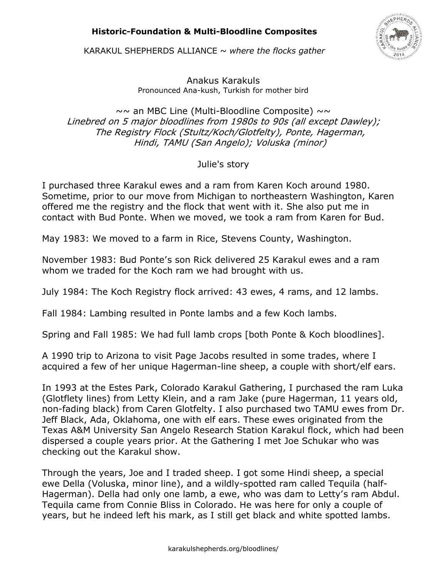## **Historic-Foundation & Multi-Bloodline Composites**



KARAKUL SHEPHERDS ALLIANCE ~ *where the flocks gather* 

Anakus Karakuls Pronounced Ana-kush, Turkish for mother bird

 $\sim$  an MBC Line (Multi-Bloodline Composite)  $\sim$ Linebred on 5 major bloodlines from 1980s to 90s (all except Dawley); The Registry Flock (Stultz/Koch/Glotfelty), Ponte, Hagerman, Hindi, TAMU (San Angelo); Voluska (minor)

Julie's story

I purchased three Karakul ewes and a ram from Karen Koch around 1980. Sometime, prior to our move from Michigan to northeastern Washington, Karen offered me the registry and the flock that went with it. She also put me in contact with Bud Ponte. When we moved, we took a ram from Karen for Bud.

May 1983: We moved to a farm in Rice, Stevens County, Washington.

November 1983: Bud Ponte's son Rick delivered 25 Karakul ewes and a ram whom we traded for the Koch ram we had brought with us.

July 1984: The Koch Registry flock arrived: 43 ewes, 4 rams, and 12 lambs.

Fall 1984: Lambing resulted in Ponte lambs and a few Koch lambs.

Spring and Fall 1985: We had full lamb crops [both Ponte & Koch bloodlines].

A 1990 trip to Arizona to visit Page Jacobs resulted in some trades, where I acquired a few of her unique Hagerman-line sheep, a couple with short/elf ears.

In 1993 at the Estes Park, Colorado Karakul Gathering, I purchased the ram Luka (Glotflety lines) from Letty Klein, and a ram Jake (pure Hagerman, 11 years old, non-fading black) from Caren Glotfelty. I also purchased two TAMU ewes from Dr. Jeff Black, Ada, Oklahoma, one with elf ears. These ewes originated from the Texas A&M University San Angelo Research Station Karakul flock, which had been dispersed a couple years prior. At the Gathering I met Joe Schukar who was checking out the Karakul show.

Through the years, Joe and I traded sheep. I got some Hindi sheep, a special ewe Della (Voluska, minor line), and a wildly-spotted ram called Tequila (half-Hagerman). Della had only one lamb, a ewe, who was dam to Letty's ram Abdul. Tequila came from Connie Bliss in Colorado. He was here for only a couple of years, but he indeed left his mark, as I still get black and white spotted lambs.